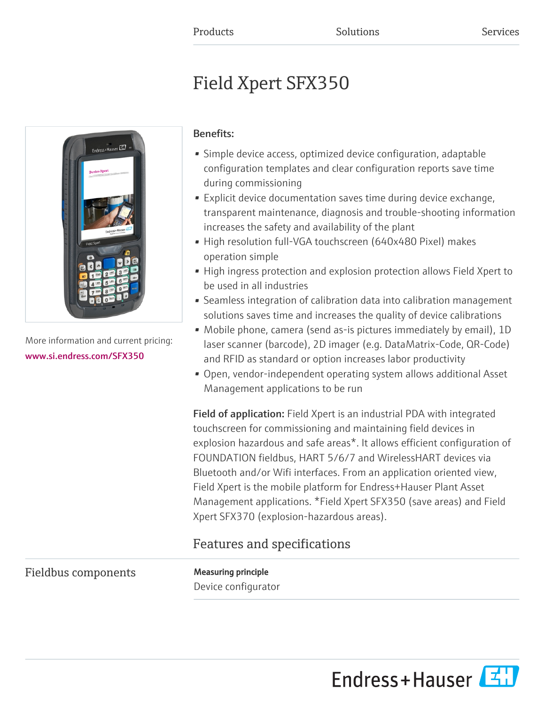# Field Xpert SFX350



More information and current pricing: [www.si.endress.com/SFX350](https://www.si.endress.com/SFX350)

# Benefits:

- Simple device access, optimized device configuration, adaptable configuration templates and clear configuration reports save time during commissioning
- Explicit device documentation saves time during device exchange, transparent maintenance, diagnosis and trouble-shooting information increases the safety and availability of the plant
- High resolution full-VGA touchscreen (640x480 Pixel) makes operation simple
- High ingress protection and explosion protection allows Field Xpert to be used in all industries
- Seamless integration of calibration data into calibration management solutions saves time and increases the quality of device calibrations
- Mobile phone, camera (send as-is pictures immediately by email), 1D laser scanner (barcode), 2D imager (e.g. DataMatrix-Code, QR-Code) and RFID as standard or option increases labor productivity
- Open, vendor-independent operating system allows additional Asset Management applications to be run

Field of application: Field Xpert is an industrial PDA with integrated touchscreen for commissioning and maintaining field devices in explosion hazardous and safe areas\*. It allows efficient configuration of FOUNDATION fieldbus, HART 5/6/7 and WirelessHART devices via Bluetooth and/or Wifi interfaces. From an application oriented view, Field Xpert is the mobile platform for Endress+Hauser Plant Asset Management applications. \*Field Xpert SFX350 (save areas) and Field Xpert SFX370 (explosion-hazardous areas).

# Features and specifications

# Fieldbus components Measuring principle

Device configurator

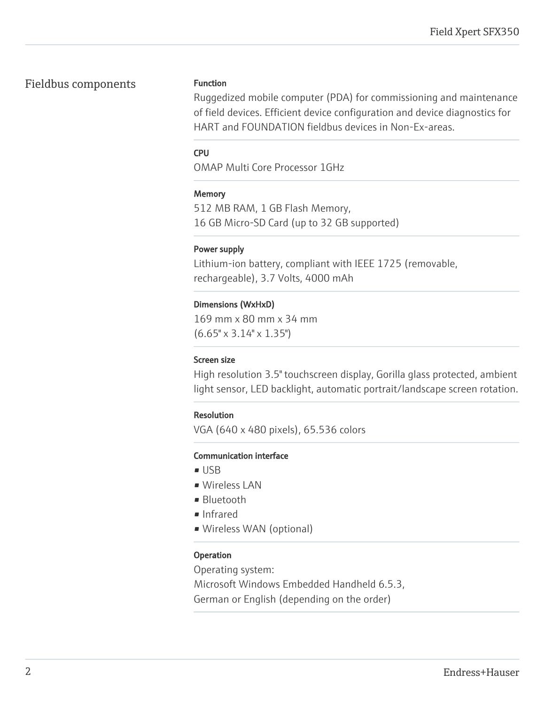# Fieldbus components Function

Ruggedized mobile computer (PDA) for commissioning and maintenance of field devices. Efficient device configuration and device diagnostics for HART and FOUNDATION fieldbus devices in Non-Ex-areas.

#### CPU

OMAP Multi Core Processor 1GHz

#### **Memory**

512 MB RAM, 1 GB Flash Memory, 16 GB Micro-SD Card (up to 32 GB supported)

#### Power supply

Lithium-ion battery, compliant with IEEE 1725 (removable, rechargeable), 3.7 Volts, 4000 mAh

### Dimensions (WxHxD)

169 mm x 80 mm x 34 mm (6.65" x 3.14" x 1.35")

#### Screen size

High resolution 3.5" touchscreen display, Gorilla glass protected, ambient light sensor, LED backlight, automatic portrait/landscape screen rotation.

### Resolution

VGA (640 x 480 pixels), 65.536 colors

#### Communication interface

- USB
- Wireless LAN
- Bluetooth
- Infrared
- Wireless WAN (optional)

### Operation

Operating system: Microsoft Windows Embedded Handheld 6.5.3, German or English (depending on the order)